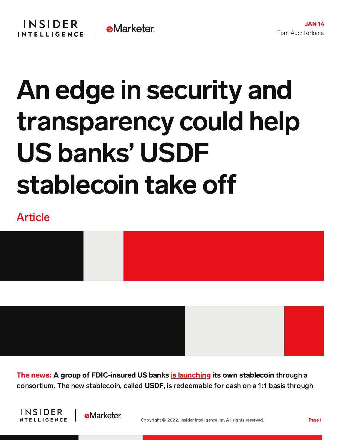## An edge in security and transparency could help US banks' USDF stablecoin take o

## Article



The news: A group of FDIC-insured US banks is [launching](https://www.prnewswire.com/news-releases/usdf-consortium-launches-to-enable-banks-to-mint-usdf-stablecoins-301458911.html) its own stablecoin through a consortium. The new stablecoin, called USDF, is redeemable for cash on a 1:1 basis through



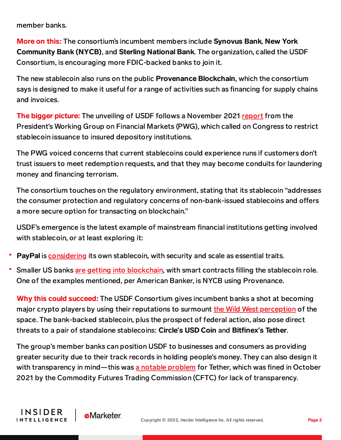member banks.

INSIDER

**INTELLIGENCE** 

**e**Marketer

More on this: The consortium's incumbent members include Synovus Bank, New York Community Bank (NYCB), and Sterling National Bank. The organization, called the USDF Consortium, is encouraging more FDIC-backed banks to join it.

The new stablecoin also runs on the public Provenance Blockchain, which the consortium says is designed to make it useful for a range of activities such as financing for supply chains and invoices.

The bigger picture: The unveiling of USDF follows a November 2021 [report](https://content-na2.emarketer.com/limiting-stablecoin-issuance-insured-banks-would-force-them-make-neobank-style-choices) from the President's Working Group on Financial Markets (PWG), which called on Congress to restrict stablecoin issuance to insured depository institutions.

The PWG voiced concerns that current stablecoins could experience runs if customers don't trust issuers to meet redemption requests, and that they may become conduits for laundering money and financing terrorism.

The consortium touches on the regulatory environment, stating that its stablecoin "addresses the consumer protection and regulatory concerns of non-bank-issued stablecoins and offers a more secure option for transacting on blockchain."

USDF's emergence is the latest example of mainstream financial institutions getting involved with stablecoin, or at least exploring it:

- PayPal is [considering](https://content-na2.emarketer.com/paypal-mulling-proprietary-stablecoin-help-drive-platform-growth) its own stablecoin, with security and scale as essential traits.
- Smaller US banks are getting into [blockchain,](https://content-na2.emarketer.com/multi-bank-blockchains-catch-on-smaller-us-players-cx-payments) with smart contracts filling the stablecoin role. One of the examples mentioned, per American Banker, is NYCB using Provenance.

Why this could succeed: The USDF Consortium gives incumbent banks a shot at becoming major crypto players by using their reputations to surmount the Wild West [perception](https://content-na2.emarketer.com/us-regulation-planning-still-views-crypto-assets-securities) of the space. The bank-backed stablecoin, plus the prospect of federal action, also pose direct threats to a pair of standalone stablecoins: Circle**'**s USD Coin and Bitnex**'**s Tether.

The group's member banks can position USDF to businesses and consumers as providing greater security due to their track records in holding people's money. They can also design it with transparency in mind—this was a notable [problem](https://content-na2.emarketer.com/bitfinex-its-stablecoin-tether-fined-42-5m-lack-of-transparency) for Tether, which was fined in October 2021 by the Commodity Futures Trading Commission (CFTC) for lack of transparency.